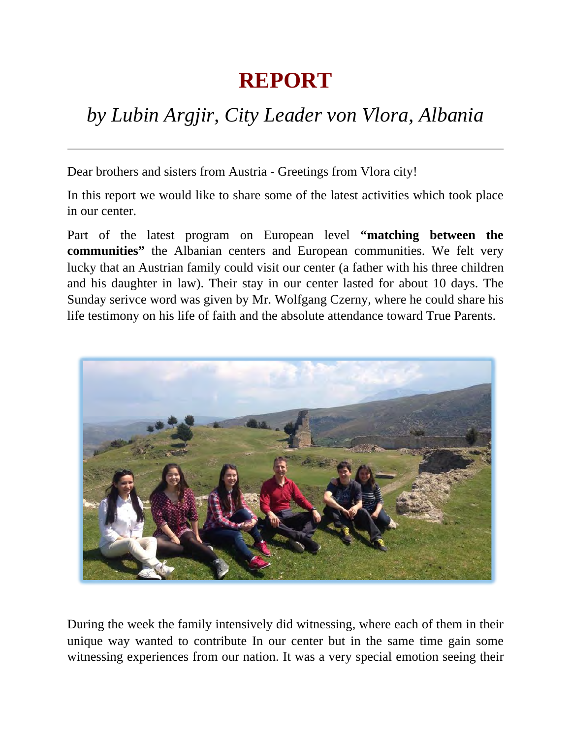## **REPORT**

## *by Lubin Argjir, City Leader von Vlora, Albania*

Dear brothers and sisters from Austria - Greetings from Vlora city!

In this report we would like to share some of the latest activities which took place in our center.

Part of the latest program on European level **"matching between the communities"** the Albanian centers and European communities. We felt very lucky that an Austrian family could visit our center (a father with his three children and his daughter in law). Their stay in our center lasted for about 10 days. The Sunday serivce word was given by Mr. Wolfgang Czerny, where he could share his life testimony on his life of faith and the absolute attendance toward True Parents.



During the week the family intensively did witnessing, where each of them in their unique way wanted to contribute In our center but in the same time gain some witnessing experiences from our nation. It was a very special emotion seeing their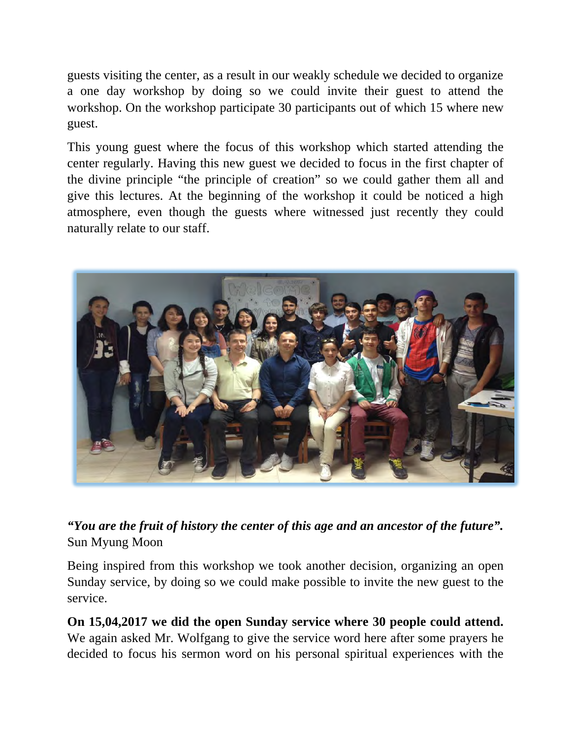guests visiting the center, as a result in our weakly schedule we decided to organize a one day workshop by doing so we could invite their guest to attend the workshop. On the workshop participate 30 participants out of which 15 where new guest.

This young guest where the focus of this workshop which started attending the center regularly. Having this new guest we decided to focus in the first chapter of the divine principle "the principle of creation" so we could gather them all and give this lectures. At the beginning of the workshop it could be noticed a high atmosphere, even though the guests where witnessed just recently they could naturally relate to our staff.



*"You are the fruit of history the center of this age and an ancestor of the future".* Sun Myung Moon

Being inspired from this workshop we took another decision, organizing an open Sunday service, by doing so we could make possible to invite the new guest to the service.

**On 15,04,2017 we did the open Sunday service where 30 people could attend.** We again asked Mr. Wolfgang to give the service word here after some prayers he decided to focus his sermon word on his personal spiritual experiences with the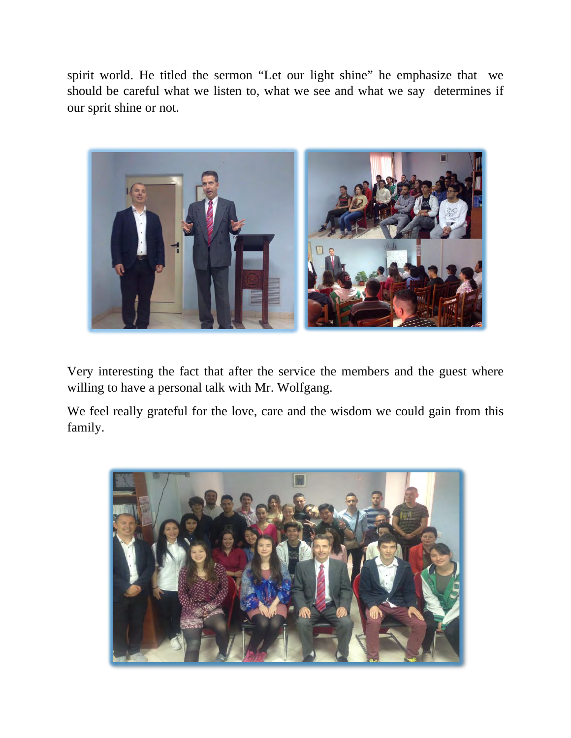spirit world. He titled the sermon "Let our light shine" he emphasize that we should be careful what we listen to, what we see and what we say determines if our sprit shine or not.



Very interesting the fact that after the service the members and the guest where willing to have a personal talk with Mr. Wolfgang.

We feel really grateful for the love, care and the wisdom we could gain from this family.